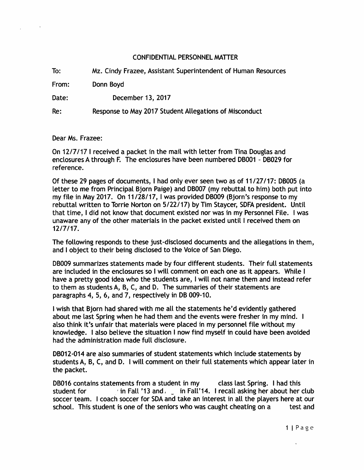## CONFIDENTIAL PERSONNEL MATTER

To: From: Date: Re: Mz. Cindy Frazee, Assistant Superintendent of Human Resources Donn Boyd December 13, 2017 Response to May 2017 Student Allegations of Misconduct

Dear Ms. Frazee:

On 12/7/17 I received a packet in the mail with letter from Tina Douglas and enclosures A through F. The enclosures have been numbered DB001 - DB029 for reference.

Of these 29 pages of documents, I had only ever seen two as of 11/27/17: 06005 (a letter to me from Principal Bjorn Paige) and DB007 (my rebuttal to him) both put into my file in May 2017. On 11/28/17, I was provided DB009 (Bjorn's response to my rebuttal written to Torrie Norton on 5/22/17) by Tim Staycer, SDFA president. Until that time, I did not know that document existed nor was in my Personnel File. I was unaware any of the other materials in the packet existed until I received them on 12/7/17.

The following responds to these just-disclosed documents and the allegations in them, and I object to their being disclosed to the Voice of San Diego.

DB009 summarizes statements made by four different students. Their full statements are included in the enclosures so I will comment on each one as it appears. While I have a pretty good idea who the students are, I will not name them and instead refer to them as students A, B, C, and D. The summaries of their statements are paragraphs 4, 5, 6, and 7, respectively in DB 009-10.

I wish that Bjorn had shared with me all the statements he'd evidently gathered about me last Spring when he had them and the events were fresher in my mind. I also think it's unfair that materials were placed in my personnel file without my knowledge. I also believe the situation I now find myself in could have been avoided had the administration made full disclosure.

DB012-014 are also summaries of student statements which include statements by students A, 6, C, and D. I will comment on their full statements which appear later in the packet.

DB016 contains statements from a student in my class last Spring. I had this student for  $\cdot$  in Fall '13 and  $\cdot$  in Fall '14. I recall asking her about her club soccer team. I coach soccer for SDA and take an interest in all the players here at our school. This student is one of the seniors who was caught cheating on a test and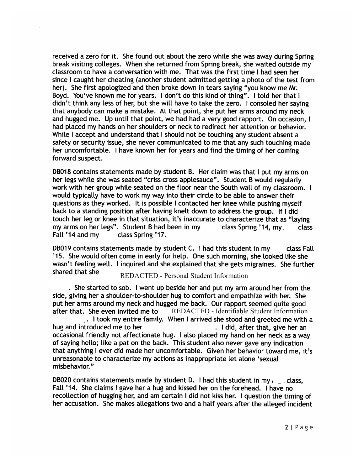received a zero for it. She found out about the zero while she was away during Spring break visiting colleges. When she returned from Spring break, she waited outside my classroom to have a conversation with me. That was the first time I had seen her since I caught her cheating (another student admitted getting a photo of the test from her). She first apologized and then broke down in tears saying "you know me Mr. Boyd. You've known me for years. I don't do this kind of thing". I told her that I didn't think any less of her, but she will have to take the zero. I consoled her saying that anybody can make a mistake. At that point, she put her arms around my neck and hugged me. Up until that point, we had had a very good rapport. On occasion, I had placed my hands on her shoulders or neck to redirect her attention or behavior. While I accept and understand that I should not be touching any student absent a safety or security issue, she never communicated to me that any such touching made her uncomfortable. I have known her for years and find the timing of her coming forward suspect.

DB018 contains statements made by student B. Her claim was that I put my arms on her legs while she was seated "criss cross applesauce". Student B would regularly work with her group while seated on the floor near the South wall of my classroom. I would typically have to work my way into their circle to be able to answer their questions as they worked. It is possible I contacted her knee while pushing myself back to a standing position after having knelt down to address the group. If I did touch her leg or knee in that situation, it's inaccurate to characterize that as "laving my arms on her legs". Student B had been in my class Spring '14, my, class Fall '14 and my class Spring '17.

DB019 contains statements made by student C. I had this student in my class Fall '15. She would often come in early for help. One such morning, she looked like she wasn't feeling well. I inquired and she explained that she gets migraines. She further shared that she

## REDACTED - Personal Student Information

. She started to sob. I went up beside her and put my arm around her from the side, giving her a shoulder-to-shoulder hug to comfort and empathize with her. She put her arms around my neck and hugged me back. Our rapport seemed quite good after that. She even invited me to REDACTED - Identifiable Student Information

. I took my entire family. When I arrived she stood and greeted me with a hug and introduced me to her . I did, after that, give her an occasional friendly not affectionate hug. I also placed my hand on her neck as a way of saying hello; like a pat on the back. This student also never gave any indication that anything I ever did made her uncomfortable. Given her behavior toward me, it's unreasonable to characterize my actions as inappropriate let alone 'sexual misbehavior."

DB020 contains statements made by student D. I had this student in my  $\mu$  class, Fall '14. She claims I gave her a hug and kissed her on the forehead. I have no recollection of hugging her, and am certain I did not kiss her. I question the timing of her accusation. She makes allegations two and a half years after the alleged incident